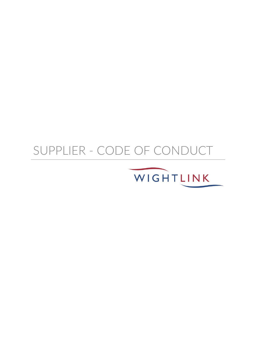# SUPPLIER - CODE OF CONDUCT

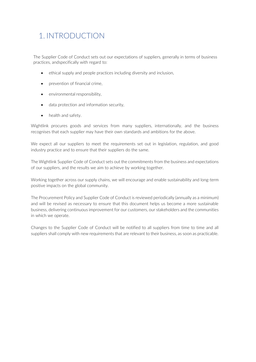### 1. INTRODUCTION

The Supplier Code of Conduct sets out our expectations of suppliers, generally in terms of business practices, andspecifically with regard to:

- ethical supply and people practices including diversity and inclusion,
- prevention of financial crime.
- environmental responsibility,
- data protection and information security,
- health and safety.

Wightlink procures goods and services from many suppliers, internationally, and the business recognises that each supplier may have their own standards and ambitions for the above.

We expect all our suppliers to meet the requirements set out in legislation, regulation, and good industry practice and to ensure that their suppliers do the same.

The Wightlink Supplier Code of Conduct sets out the commitments from the business and expectations of our suppliers, and the results we aim to achieve by working together.

Working together across our supply chains, we will encourage and enable sustainability and long-term positive impacts on the global community.

The Procurement Policy and Supplier Code of Conduct is reviewed periodically (annually as a minimum) and will be revised as necessary to ensure that this document helps us become a more sustainable business, delivering continuous improvement for our customers, our stakeholders and the communities in which we operate.

Changes to the Supplier Code of Conduct will be notified to all suppliers from time to time and all suppliers shall comply with new requirements that are relevant to their business, as soon as practicable.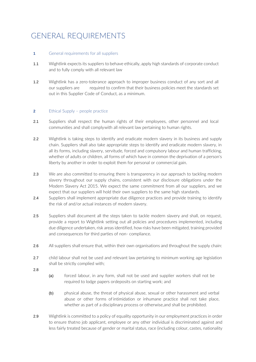## GENERAL REQUIREMENTS

#### **1** General requirements for all suppliers

- 1.1 Wightlink expects its suppliers to behave ethically, apply high standards of corporate conduct and to fully comply with all relevant law
- 1.2 Wightlink has a zero-tolerance approach to improper business conduct of any sort and all our suppliers are required to confirm that their business policies meet the standards set out in this Supplier Code of Conduct, as a minimum.

#### **2** Ethical Supply – people practice

- 2.1 Suppliers shall respect the human rights of their employees, other personnel and local communities and shall complywith all relevant law pertaining to human rights.
- 2.2 Wightlink is taking steps to identify and eradicate modern slavery in its business and supply chain. Suppliers shall also take appropriate steps to identify and eradicate modern slavery, in all its forms, including slavery, servitude, forced and compulsory labour and human trafficking, whether of adults or children, all forms of which have in common the deprivation of a person's liberty by another in order to exploit them for personal or commercial gain.
- 2.3 We are also committed to ensuring there is transparency in our approach to tackling modern slavery throughout our supply chains, consistent with our disclosure obligations under the Modern Slavery Act 2015. We expect the same commitment from all our suppliers, and we expect that our suppliers will hold their own suppliers to the same high standards.
- 2.4 Suppliers shall implement appropriate due diligence practices and provide training to identify the risk of and/or actual instances of modern slavery.
- 2.5 Suppliers shall document all the steps taken to tackle modern slavery and shall, on request, provide a report to Wightlink setting out all policies and procedures implemented, including due diligence undertaken, risk areas identified, how risks have been mitigated, training provided and consequences for third parties of non- compliance.
- 2.6 All suppliers shall ensure that, within their own organisations and throughout the supply chain:
- 2.7 child labour shall not be used and relevant law pertaining to minimum working age legislation shall be strictly complied with;
- 2.8
- (a) forced labour, in any form, shall not be used and supplier workers shall not be required to lodge papers ordeposits on starting work; and
- (b) physical abuse, the threat of physical abuse, sexual or other harassment and verbal abuse or other forms of intimidation or inhumane practice shall not take place, whether as part of a disciplinary process or otherwise,and shall be prohibited.
- 2.9 Wightlink is committed to a policy of equality opportunity in our employment practices in order to ensure thatno job applicant, employee or any other individual is discriminated against and less fairly treated because of gender or marital status, race (including colour, castes, nationality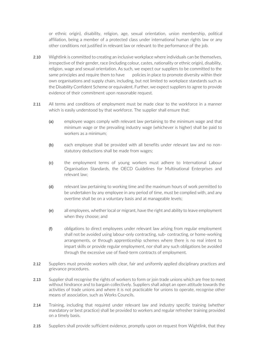or ethnic origin), disability, religion, age, sexual orientation, union membership, political affiliation, being a member of a protected class under international human rights law or any other conditions not justified in relevant law or relevant to the performance of the job.

- 2.10 Wightlink is committed to creating an inclusive workplace where individuals can be themselves, irrespective of their gender, race (including colour, castes, nationality or ethnic origin), disability, religion, wage and sexual orientation. As such, we expect our suppliers to be committed to the same principles and require them to have policies in place to promote diversity within their own organisations and supply chain, including, but not limited to workplace standards such as the Disability Confident Scheme or equivalent. Further, we expect suppliers to agree to provide evidence of their commitment upon reasonable request.
- 2.11 All terms and conditions of employment must be made clear to the workforce in a manner which is easily understood by that workforce. The supplier shall ensure that:
	- (a) employee wages comply with relevant law pertaining to the minimum wage and that minimum wage or the prevailing industry wage (whichever is higher) shall be paid to workers as a minimum;
	- (b) each employee shall be provided with all benefits under relevant law and no nonstatutory deductions shall be made from wages;
	- (c) the employment terms of young workers must adhere to International Labour Organisation Standards, the OECD Guidelines for Multinational Enterprises and relevant law;
	- (d) relevant law pertaining to working time and the maximum hours of work permitted to be undertaken by any employee in any period of time, must be complied with, and any overtime shall be on a voluntary basis and at manageable levels;
	- (e) all employees, whether local or migrant, have the right and ability to leave employment when they choose; and
	- (f) obligations to direct employees under relevant law arising from regular employment shall not be avoided using labour-only contracting, sub- contracting, or home-working arrangements, or through apprenticeship schemes where there is no real intent to impart skills or provide regular employment, nor shall any such obligations be avoided through the excessive use of fixed-term contracts of employment.
- 2.12 Suppliers must provide workers with clear, fair and uniformly applied disciplinary practices and grievance procedures.
- 2.13 Supplier shall recognise the rights of workers to form or join trade unions which are free to meet without hindrance and to bargain collectively. Suppliers shall adopt an open attitude towards the activities of trade unions and where it is not practicable for unions to operate, recognise other means of association, such as Works Councils.
- 2.14 Training, including that required under relevant law and industry specific training (whether mandatory or best practice) shall be provided to workers and regular refresher training provided on a timely basis.
- 2.15 Suppliers shall provide sufficient evidence, promptly upon on request from Wightlink, that they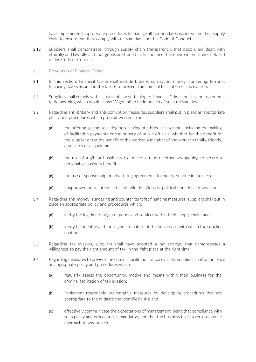have implemented appropriate procedures to manage all labour related issues within their supply chain to ensure that they comply with relevant law and this Code of Conduct.

2.16 Suppliers shall demonstrate, through supply chain transparency, that people are dealt with ethically and lawfully and that goods are traded fairly and meet the environmental aims detailed in this Code of Conduct.

#### **3** Prevention of Financial Crime

- 3.1 In this section, Financial Crime shall include bribery, corruption, money laundering, terrorist financing, tax evasion and the failure to prevent the criminal facilitation of tax evasion.
- 3.2 Suppliers shall comply with all relevant law pertaining to Financial Crime and shall not do or omit to do anything which would cause Wightlink to be in breach of such relevant law.
- 3.3 Regarding anti-bribery and anti-corruption measures, suppliers shall put in place an appropriate policy and procedures which prohibit workers from:
	- (a) the offering, giving, soliciting or receiving of a bribe at any time (including the making of facilitation payments or the bribery of public officials) whether for the benefit of the supplier or for the benefit of the worker, a member of the worker's family, friends, associates or acquaintances.
	- (b) the use of a gift or hospitality to induce a fraud or other wrongdoing to secure a personal or business benefit;
	- (c) the use of sponsorship or advertising agreements to exercise undue influence; or
	- (d) unapproved or unauthorised charitable donations or political donations of any kind.
- 3.4 Regarding anti-money laundering and counter terrorist financing measures, suppliers shall put in place an appropriate policy and procedures which:
	- (a) verify the legitimate origin of goods and services within their supply chain; and
	- (b) verify the identity and the legitimate nature of the businesses with which the supplier contracts.
- 3.5 Regarding tax evasion, suppliers shall have adopted a tax strategy that demonstrates a willingness to pay the right amount of tax, in the right place at the right time.
- 3.6 Regarding measures to prevent the criminal facilitation of tax evasion, suppliers shall put in place an appropriate policy and procedures which:
	- (a) regularly assess the opportunity, motive and means within their business for the criminal facilitation of tax evasion;
	- (b) implement reasonable preventative measures by developing procedures that are appropriate to the mitigate the identified risks; and
	- (c) effectively communicate the expectations of management, being that compliance with such policy and procedures is mandatory and that the business takes a zero-tolerance approach to any breach.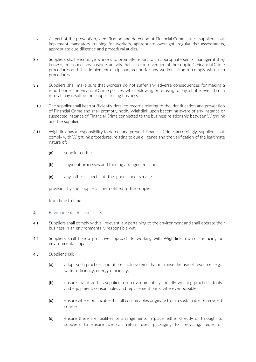- 3.7 As part of the prevention, identification and detection of Financial Crime issues, suppliers shall implement mandatory training for workers, appropriate oversight, regular risk assessments, appropriate due diligence and procedural audits.
- 3.8 Suppliers shall encourage workers to promptly report to an appropriate senior manager if they know of or suspect any business activity that is in contravention of the supplier's Financial Crime procedures and shall implement disciplinary action for any worker failing to comply with such procedures.
- 3.9 Suppliers shall make sure that workers do not suffer any adverse consequences for making a report under the Financial Crime policies, whistleblowing or refusing to pay a bribe, even if such refusal may result in the supplier losing business.
- 3.10 The supplier shall keep sufficiently detailed records relating to the identification and prevention of Financial Crime and shall promptly notify Wightlink upon becoming aware of any instance or suspected instance of Financial Crime connected to the business relationship between Wightlink and the supplier.
- 3.11 Wightlink has a responsibility to detect and prevent Financial Crime, accordingly, suppliers shall comply with Wightlink procedures, relating to due diligence and the verification of the legitimate nature of:
	- (a) supplier entities.
	- (b) payment processes and funding arrangements; and
	- (c) any other aspects of the goods and service

provision by the supplier,as are notified to the supplier

from time to time.

#### **4** Environmental Responsibility

- 4.1 Suppliers shall comply with all relevant law pertaining to the environment and shall operate their business in an environmentally responsible way.
- 4.2 Suppliers shall take a proactive approach to working with Wightlink towards reducing our environmental impact.
- 4.3 Supplier shall:
	- (a) adopt such practices and utilise such systems that minimise the use of resources e.g., water efficiency, energy efficiency;
	- (b) ensure that it and its suppliers use environmentally friendly working practices, tools and equipment, consumables and replacement parts, wherever possible;
	- (c) ensure where practicable that all consumables originate from a sustainable or recycled source;
	- (d) ensure there are facilities or arrangements in place, either directly or through its suppliers to ensure we can return used packaging for recycling, reuse or